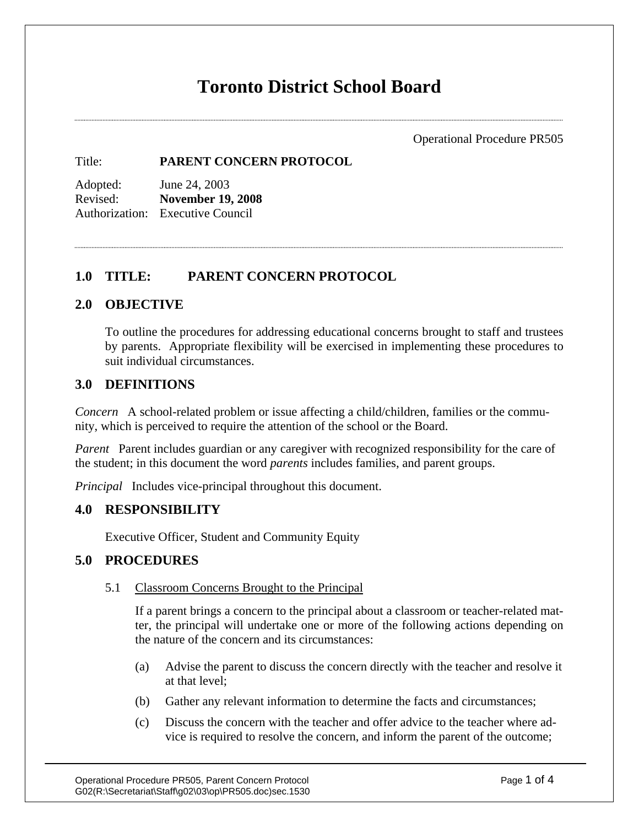# **Toronto District School Board**

Operational Procedure PR505

Title: **PARENT CONCERN PROTOCOL**

Adopted: June 24, 2003 Revised: **November 19, 2008** Authorization: Executive Council

## **1.0 TITLE: PARENT CONCERN PROTOCOL**

## **2.0 OBJECTIVE**

To outline the procedures for addressing educational concerns brought to staff and trustees by parents. Appropriate flexibility will be exercised in implementing these procedures to suit individual circumstances.

## **3.0 DEFINITIONS**

*Concern* A school-related problem or issue affecting a child/children, families or the community, which is perceived to require the attention of the school or the Board.

*Parent* Parent includes guardian or any caregiver with recognized responsibility for the care of the student; in this document the word *parents* includes families, and parent groups.

*Principal* Includes vice-principal throughout this document.

## **4.0 RESPONSIBILITY**

Executive Officer, Student and Community Equity

## **5.0 PROCEDURES**

### 5.1 Classroom Concerns Brought to the Principal

If a parent brings a concern to the principal about a classroom or teacher-related matter, the principal will undertake one or more of the following actions depending on the nature of the concern and its circumstances:

- (a) Advise the parent to discuss the concern directly with the teacher and resolve it at that level;
- (b) Gather any relevant information to determine the facts and circumstances;
- (c) Discuss the concern with the teacher and offer advice to the teacher where advice is required to resolve the concern, and inform the parent of the outcome;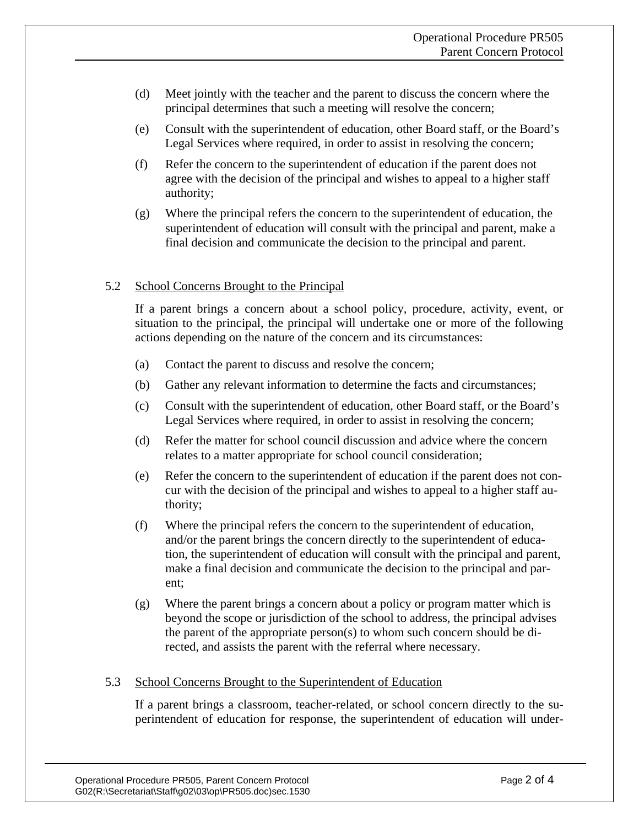- (d) Meet jointly with the teacher and the parent to discuss the concern where the principal determines that such a meeting will resolve the concern;
- (e) Consult with the superintendent of education, other Board staff, or the Board's Legal Services where required, in order to assist in resolving the concern;
- (f) Refer the concern to the superintendent of education if the parent does not agree with the decision of the principal and wishes to appeal to a higher staff authority;
- (g) Where the principal refers the concern to the superintendent of education, the superintendent of education will consult with the principal and parent, make a final decision and communicate the decision to the principal and parent.

### 5.2 School Concerns Brought to the Principal

If a parent brings a concern about a school policy, procedure, activity, event, or situation to the principal, the principal will undertake one or more of the following actions depending on the nature of the concern and its circumstances:

- (a) Contact the parent to discuss and resolve the concern;
- (b) Gather any relevant information to determine the facts and circumstances;
- (c) Consult with the superintendent of education, other Board staff, or the Board's Legal Services where required, in order to assist in resolving the concern;
- (d) Refer the matter for school council discussion and advice where the concern relates to a matter appropriate for school council consideration;
- (e) Refer the concern to the superintendent of education if the parent does not concur with the decision of the principal and wishes to appeal to a higher staff authority;
- (f) Where the principal refers the concern to the superintendent of education, and/or the parent brings the concern directly to the superintendent of education, the superintendent of education will consult with the principal and parent, make a final decision and communicate the decision to the principal and parent;
- (g) Where the parent brings a concern about a policy or program matter which is beyond the scope or jurisdiction of the school to address, the principal advises the parent of the appropriate person(s) to whom such concern should be directed, and assists the parent with the referral where necessary.

#### 5.3 School Concerns Brought to the Superintendent of Education

If a parent brings a classroom, teacher-related, or school concern directly to the superintendent of education for response, the superintendent of education will under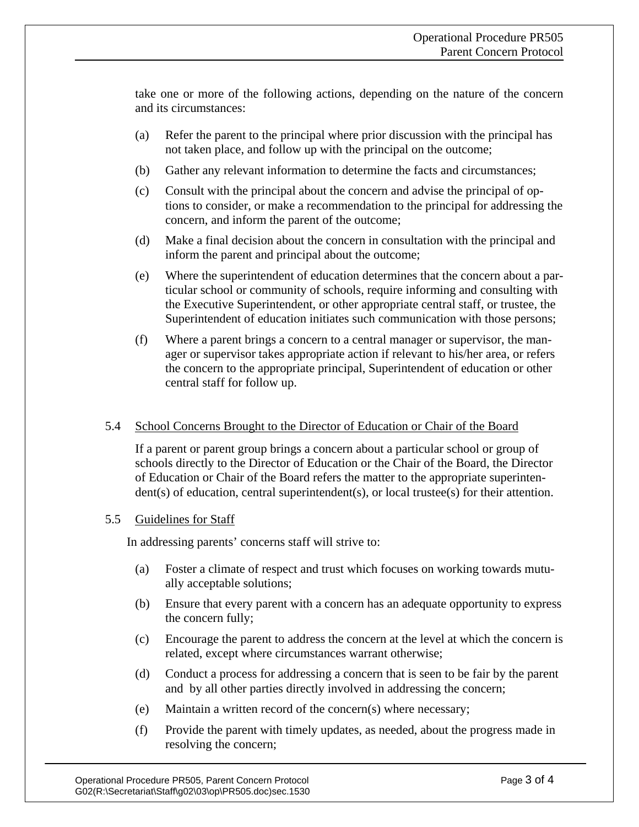take one or more of the following actions, depending on the nature of the concern and its circumstances:

- (a) Refer the parent to the principal where prior discussion with the principal has not taken place, and follow up with the principal on the outcome;
- (b) Gather any relevant information to determine the facts and circumstances;
- (c) Consult with the principal about the concern and advise the principal of options to consider, or make a recommendation to the principal for addressing the concern, and inform the parent of the outcome;
- (d) Make a final decision about the concern in consultation with the principal and inform the parent and principal about the outcome;
- (e) Where the superintendent of education determines that the concern about a particular school or community of schools, require informing and consulting with the Executive Superintendent, or other appropriate central staff, or trustee, the Superintendent of education initiates such communication with those persons;
- (f) Where a parent brings a concern to a central manager or supervisor, the manager or supervisor takes appropriate action if relevant to his/her area, or refers the concern to the appropriate principal, Superintendent of education or other central staff for follow up.

### 5.4 School Concerns Brought to the Director of Education or Chair of the Board

If a parent or parent group brings a concern about a particular school or group of schools directly to the Director of Education or the Chair of the Board, the Director of Education or Chair of the Board refers the matter to the appropriate superintendent(s) of education, central superintendent(s), or local trustee(s) for their attention.

### 5.5 Guidelines for Staff

In addressing parents' concerns staff will strive to:

- (a) Foster a climate of respect and trust which focuses on working towards mutually acceptable solutions;
- (b) Ensure that every parent with a concern has an adequate opportunity to express the concern fully;
- (c) Encourage the parent to address the concern at the level at which the concern is related, except where circumstances warrant otherwise;
- (d) Conduct a process for addressing a concern that is seen to be fair by the parent and by all other parties directly involved in addressing the concern;
- (e) Maintain a written record of the concern(s) where necessary;
- (f) Provide the parent with timely updates, as needed, about the progress made in resolving the concern;